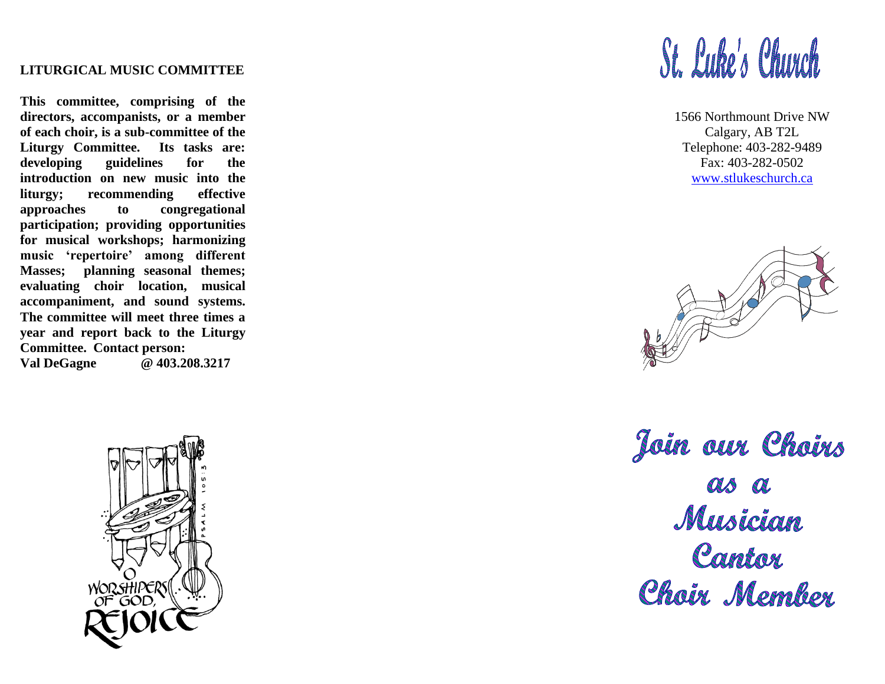## **LITURGICAL MUSIC COMMITTEE**

**This committee, comprising of the directors, accompanists, or a member of each choir, is a sub -committee of the Liturgy Committee. Its tasks are: developing guidelines for the introduction on new music into the liturgy; recommending effective approaches to congregational participation; providing opportunities for musical workshops; harmonizing music 'repertoire' among different Masses; planning seasonal themes; evaluating choir location, musical accompaniment, and sound systems. The committee will meet three times a year and report back to the Liturgy Committee. Contact person: Val DeGagne @ 403.208.3217**



## St. Luke's Church

1566 Northmount Drive NW Calgary, AB T2 L Telephone: 403 -282 -9489 Fax: 403 -282 -0502 [www.stlukeschurch.](http://www.stlukeschurch/)ca



Join our Choirs as a Musician Cantor<br>Choir Member